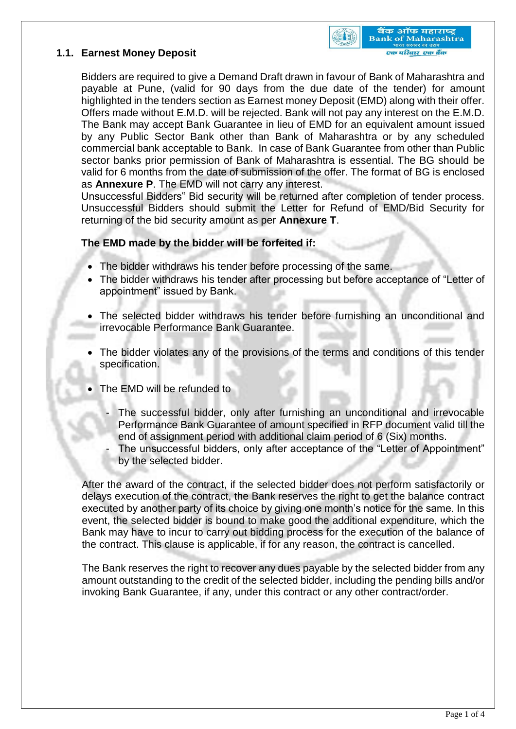



Bidders are required to give a Demand Draft drawn in favour of Bank of Maharashtra and payable at Pune, (valid for 90 days from the due date of the tender) for amount highlighted in the tenders section as Earnest money Deposit (EMD) along with their offer. Offers made without E.M.D. will be rejected. Bank will not pay any interest on the E.M.D. The Bank may accept Bank Guarantee in lieu of EMD for an equivalent amount issued by any Public Sector Bank other than Bank of Maharashtra or by any scheduled commercial bank acceptable to Bank. In case of Bank Guarantee from other than Public sector banks prior permission of Bank of Maharashtra is essential. The BG should be valid for 6 months from the date of submission of the offer. The format of BG is enclosed as **Annexure P**. The EMD will not carry any interest.

Unsuccessful Bidders" Bid security will be returned after completion of tender process. Unsuccessful Bidders should submit the Letter for Refund of EMD/Bid Security for returning of the bid security amount as per **Annexure T**.

## **The EMD made by the bidder will be forfeited if:**

- The bidder withdraws his tender before processing of the same.
- The bidder withdraws his tender after processing but before acceptance of "Letter of appointment" issued by Bank.
- The selected bidder withdraws his tender before furnishing an unconditional and irrevocable Performance Bank Guarantee.
- The bidder violates any of the provisions of the terms and conditions of this tender specification.
- The EMD will be refunded to
	- The successful bidder, only after furnishing an unconditional and irrevocable Performance Bank Guarantee of amount specified in RFP document valid till the end of assignment period with additional claim period of 6 (Six) months.
	- The unsuccessful bidders, only after acceptance of the "Letter of Appointment" by the selected bidder.

After the award of the contract, if the selected bidder does not perform satisfactorily or delays execution of the contract, the Bank reserves the right to get the balance contract executed by another party of its choice by giving one month's notice for the same. In this event, the selected bidder is bound to make good the additional expenditure, which the Bank may have to incur to carry out bidding process for the execution of the balance of the contract. This clause is applicable, if for any reason, the contract is cancelled.

The Bank reserves the right to recover any dues payable by the selected bidder from any amount outstanding to the credit of the selected bidder, including the pending bills and/or invoking Bank Guarantee, if any, under this contract or any other contract/order.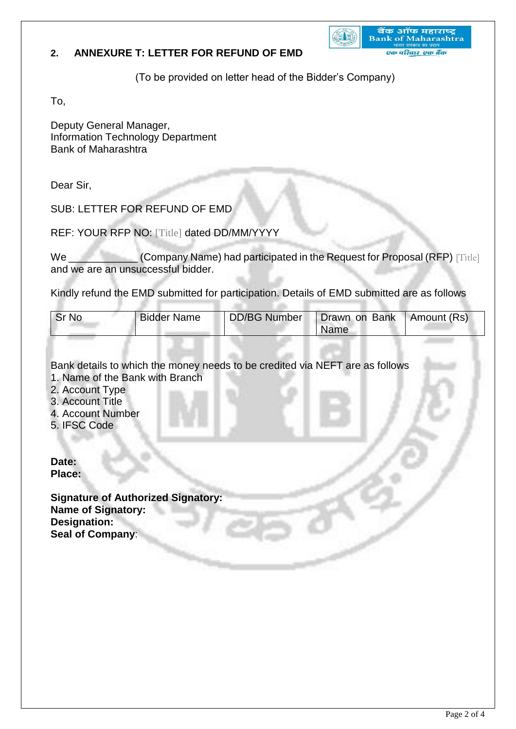## **2. ANNEXURE T: LETTER FOR REFUND OF EMD**

बैंक ऑफ महाराष्ट्र<br>Bank of Maharashtra **CELE** एक परिवार-एक बैंक

(To be provided on letter head of the Bidder's Company)

To,

Deputy General Manager, Information Technology Department Bank of Maharashtra

Dear Sir,

SUB: LETTER FOR REFUND OF EMD

REF: YOUR RFP NO: [Title] dated DD/MM/YYYY

We **Company Name) had participated in the Request for Proposal (RFP)** [Title] and we are an unsuccessful bidder.

Kindly refund the EMD submitted for participation. Details of EMD submitted are as follows

| Sr No | <b>Bidder Name</b> | <b>DD/BG Number</b> | Drawn on Bank   Amount (Rs) |  |
|-------|--------------------|---------------------|-----------------------------|--|
|       |                    |                     | <b>Name</b>                 |  |

Bank details to which the money needs to be credited via NEFT are as follows 1. Name of the Bank with Branch

- 
- 2. Account Type
- 3. Account Title
- 4. Account Number
- 5. IFSC Code

**Date: Place:** 

**Signature of Authorized Signatory: Name of Signatory: Designation: Seal of Company**: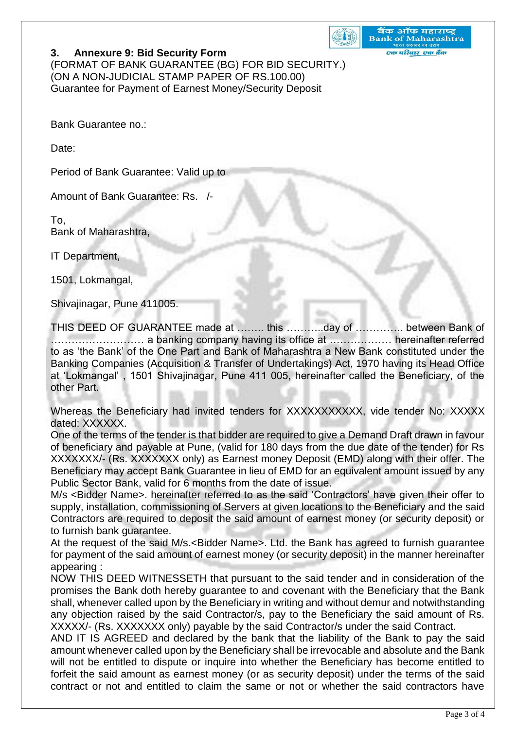

बैंक ऑफ महाराष्ट्र **Bank of Maharashtra** एक परिवार एक बैंक

## **3. Annexure 9: Bid Security Form**

(FORMAT OF BANK GUARANTEE (BG) FOR BID SECURITY.) (ON A NON-JUDICIAL STAMP PAPER OF RS.100.00) Guarantee for Payment of Earnest Money/Security Deposit

Bank Guarantee no.:

Date:

Period of Bank Guarantee: Valid up to

Amount of Bank Guarantee: Rs. /-

To, Bank of Maharashtra,

IT Department,

1501, Lokmangal,

Shivajinagar, Pune 411005.

THIS DEED OF GUARANTEE made at …….. this ………..day of ………….. between Bank of ……………………… a banking company having its office at ……………… hereinafter referred to as 'the Bank' of the One Part and Bank of Maharashtra a New Bank constituted under the Banking Companies (Acquisition & Transfer of Undertakings) Act, 1970 having its Head Office at 'Lokmangal' , 1501 Shivajinagar, Pune 411 005, hereinafter called the Beneficiary, of the other Part.

Whereas the Beneficiary had invited tenders for XXXXXXXXXXX, vide tender No: XXXXX dated: XXXXXX.

One of the terms of the tender is that bidder are required to give a Demand Draft drawn in favour of beneficiary and payable at Pune, (valid for 180 days from the due date of the tender) for Rs XXXXXXX/- (Rs. XXXXXXX only) as Earnest money Deposit (EMD) along with their offer. The Beneficiary may accept Bank Guarantee in lieu of EMD for an equivalent amount issued by any Public Sector Bank, valid for 6 months from the date of issue.

M/s <Bidder Name>. hereinafter referred to as the said 'Contractors' have given their offer to supply, installation, commissioning of Servers at given locations to the Beneficiary and the said Contractors are required to deposit the said amount of earnest money (or security deposit) or to furnish bank guarantee.

At the request of the said M/s.<Bidder Name>. Ltd. the Bank has agreed to furnish guarantee for payment of the said amount of earnest money (or security deposit) in the manner hereinafter appearing :

NOW THIS DEED WITNESSETH that pursuant to the said tender and in consideration of the promises the Bank doth hereby guarantee to and covenant with the Beneficiary that the Bank shall, whenever called upon by the Beneficiary in writing and without demur and notwithstanding any objection raised by the said Contractor/s, pay to the Beneficiary the said amount of Rs. XXXXX/- (Rs. XXXXXXX only) payable by the said Contractor/s under the said Contract.

AND IT IS AGREED and declared by the bank that the liability of the Bank to pay the said amount whenever called upon by the Beneficiary shall be irrevocable and absolute and the Bank will not be entitled to dispute or inquire into whether the Beneficiary has become entitled to forfeit the said amount as earnest money (or as security deposit) under the terms of the said contract or not and entitled to claim the same or not or whether the said contractors have